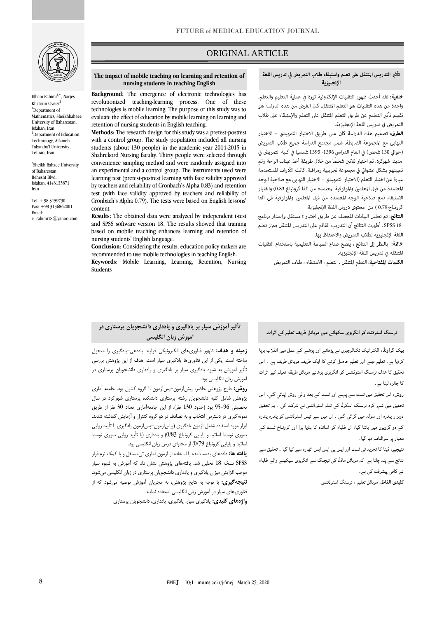

Elham Rahimi<sup>1,\*</sup>, Narjes Khatoun Oveisi<sup>2</sup> <sup>1</sup>Denartment of Mathematics, Sheikhbahaee University of Baharestan, Isfahan, Iran <sup>2</sup>Denartment of Education Technology, Allameh Tabataba'I University, Tehran, Iran

\* Sheikh Bahaee University of Baharestan Behesht Blvd. Isfahan, 4143133871 Iran

 $Tel: +983159790$ Fax: +98 3136862001 Email: [e\\_rahimi18@yahoo.com](mailto:03159790e_rahimi18@yahoo.com)

## ORIGINAL ARTICLE

### تأثير التدريس المتنقل على تعلم واستبقاء طلاب التمريض في تدريس اللغة الإنجليزية

ص

خلفية: لقد أحدث ظهور التقنيات الإلكترونية ثورة في عملية التعليم والتعلم. واحدة من هذه التقنيات هو التعلم المتنقل. كان الغرض من هذه الدراسة هو تقييم تأثير التعليم عن طريق التعلم المتنقل على التعلم والإستبقاء على طلاب التمريض فى تدريس اللغة الإنجليزية.

الطرق: تصميم هذه الدراسة كان على طريق الاختبار التمهيدي - الاختبار النهايي مع المجموعة الضابطة. شمل مجتمع الدراسة جميع طلاب التمريض (حوالي 130 شخص) في العام الدراسي 1396- 1395 شمسيا في كلية التمريض في مدينه شهركرد. تم اختيار ثلاثين شخصًا من خلال طريقة أخذ عينات الراحة وتم تعيينهم بشكل عشوائي في مجموعة تجريبية ومراقبة. كانت الأدوات المستخدمة عبارة عن اختبار التعلم (الاختبار التمهيدي – الاختبار النهايى مع صلاحية الوجه المعتمدة من قبل المعلمين والموثوقية المعتمده من آلفا كرونباخ 0.83) واختبار الاستبقاء (مع صلاحية الوجه المعتمدة من قبل المعلمين والموثوقية في آلفا كرونباخ 0.79 ) من محتوى دروس اللغة الإنجليزية.

**النتائج:** تم تحليل البيانات المحصله عن طريق اختبار t مستقل وإصدار برنامج SPSS 18 . أظهرت النتائج أن التدريب القائم على التدريس المتنقل يعزز تعلم اللغة الإنجليزية لطلاب التمريض والاحتفاظ بها.

خاقمة: بالنظر إلى النتائج ، يُنصح صناع السياسة التعليمية باستخدام التقنيات المتنقله فى تدريس اللغة الإنجليزية.

ا**لكلمات المفتاحية:** التعلم المتنقل ، التعلم ، الاستبقاء ، طلاب التمريض

#### **The impact of mobile teaching on learning and retention of nursing students in teaching English**

**Background:** The emergence of electronic technologies has revolutionized teaching-learning process. One of these technologies is mobile learning. The purpose of this study was to evaluate the effect of education by mobile learning on learning and retention of nursing students in English teaching.

**Methods:** The research design for this study was a pretest-posttest with a control group. The study population included all nursing students (about 130 people) in the academic year 2014-2015 in Shahrekord Nursing faculty. Thirty people were selected through convenience sampling method and were randomly assigned into an experimental and a control group. The instruments used were learning test (pretest-posttest learning with face validity approved by teachers and reliability of Cronbach's Alpha 0.83) and retention test (with face validity approved by teachers and reliability of Cronbach's Alpha 0.79). The tests were based on English lessons' content.

**Results:** The obtained data were analyzed by independent t-test and SPSS software version 18. The results showed that training based on mobile teaching enhances learning and retention of nursing students' English language.

**Conclusion**: Considering the results, education policy makers are recommended to use mobile technologies in teaching English.

**Keywords**: Mobile Learning, Learning, Retention, Nursing Students

## نرسنگ اسٹوڈنٹ کو انگریزی سکھانے میں موبائل طریقہ تعلیم کے اثرات

بیک گراونڈ: الکٹرانیک ٹکنالوجیوں نے پڑھانے اور پڑھنے کے عمل میں انقلاب بریا کردیا ہے۔ تعلیم دینے اور تعلیم حاصل کرنے کا ایک طریقہ موبائل طریقہ ہے ۔ اس تحقیق کا ہدف نرسنگ اسٹوڈنٹس کو انگریزی پڑھانے موبائل طریقہ تعیلم کے اثرات کا جائزہ لینا ہے۔

روش: اس تحقیق میں ٹسٹ سے پہلے اور ٹسٹ کے بعد والی روش اپنائی گئی۔ اس نحقیق میں شہر کرد نرسنگ اسکول کے تمام اسٹوڈنٹس نے شرکت کی ۔ یہ تحقیق دوہزار پندرہ اور سولہ میں کرائي گئي ۔ ان میں سے تیس اسٹوڈنٹس کو پندرہ پندرہ کے دو گروپوں میں بانٹا گیا، ان طلباء کو اساتذہ کا بنایا ہوا اور کرونباخ ٹسٹ کے معیار پر سوالنامہ دیا گیا۔

نتیجے: ڈیٹا کا تجزیہ ٹی ٹسٹ اور ایس پی ایس ایس اٹھارہ سے کیا گیا ۔ تحقیق سے نتائچ سے پتہ چلتا ہے کہ موبائل ماڈل کی ٹیچنگ سے انگریزی سیکھنے والے طلباء نے کافی پیشرفت کی ہے۔

كليدى الفاظ: موبائل تعليم ، نرسنگ اسٹوڈنٹس

# **تأثیر آموزش سیار بر یادگیری و یادداری دانشجویان پرستاری در آموزش زبان انگلیسی**

**زمینه و هدف:** ظهور فناوریهای الکترونیکی فرآیند یاددهی-یادگیری را متحول ساخته است. یکی از این فناوریها یادگیری سیار است. هدف از این پژوهش بررسی تأثیر آموزش به شیوه یادگیری سیار بر یادگیری و یادداری دانشجویان پرستاری در آموزش زبان انگلیسی بود.

**روش:** طرح پژوهش حاضر، پیشآزمون-پسآزمون با گروه کنترل بود. جامعه آماری پژوهش شامل کلیه دانشجویان رشته پرستاری دانشکده پرستاری شهرکرد در سال تحصیلی 95-96 بود )حدود 130 نفر(. از این جامعهآماری تعداد 30 نفر از طریق نمونهگیری در دسترس انتخاب و به تصادف در دو گروه کنترل و آزمایش گماشته شدند. ابزار مورد استفاده شامل آزمون یادگیری )پیشآزمون-پسآزمون یادگیری با تأیید روایی صوری توسط اساتید و پایایی کرونباخ 0/83( و یادداری )با تأیید روایی صوری توسط اساتید و پایایی کرونباخ 0/79( از محتوای درس زبان انگلیسی بود.

**یافته ها:** دادههای بدستآمده با استفاده از آزمون آماری تیمستقل و با کمک نرمافزار SPSS نسخه 18 تحلیل شد. یافتههای پژوهش نشان داد که آموزش به شیوه سیار موجب افزایش میزان یادگیری و یادداری دانشجویان پرستاری در زبان انگلیسی میشود. **نتیجهگیری:** با توجه به نتایج پژوهش، به مجریان آموزش توصیه میشود که از فناوریهای سیار در آموزش زبان انگلیسی استفاده نمایند.

**واژههای کلیدی:** یادگیری سیار، یادگیری، یادداری، دانشجویان پرستاری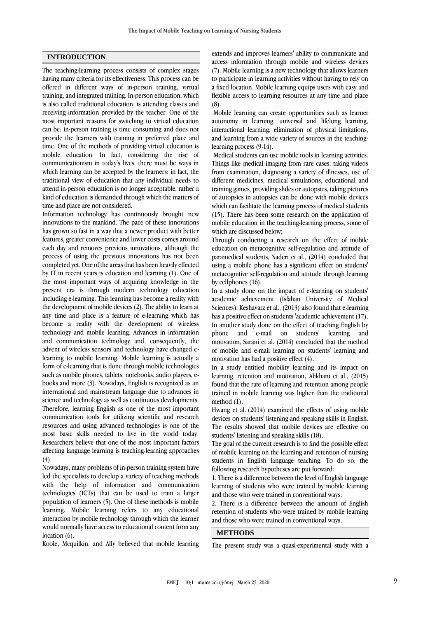### **INTRODUCTION**

The teaching-learning process consists of complex stages having many criteria for its effectiveness. This process can be offered in different ways of in-person training, virtual training, and integrated training. In-person education, which is also called traditional education, is attending classes and receiving information provided by the teacher. One of the most important reasons for switching to virtual education can be: in-person training is time consuming and does not provide the learners with training in preferred place and time. One of the methods of providing virtual education is mobile education. In fact, considering the rise of communicationism in today's lives, there must be ways in which learning can be accepted by the learners; in fact, the traditional view of education that any individual needs to attend in-person education is no longer acceptable, rather a kind of education is demanded through which the matters of time and place are not considered.

Information technology has continuously brought new innovations to the mankind. The pace of these innovations has grown so fast in a way that a newer product with better features, greater convenience and lower costs comes around each day and removes previous innovations, although the process of using the previous innovations has not been completed yet. One of the areas that has been heavily effected by IT in recent years is education and learning (1). One of the most important ways of acquiring knowledge in the present era is through modern technology education including e-learning. This learning has become a reality with the development of mobile devices (2). The ability to learn at any time and place is a feature of e-learning which has become a reality with the development of wireless technology and mobile learning. Advances in information and communication technology and, consequently, the advent of wireless sensors and technology have changed elearning to mobile learning. Mobile learning is actually a form of e-learning that is done through mobile technologies such as mobile phones, tablets, notebooks, audio players, ebooks and more (3). Nowadays, English is recognized as an international and mainstream language due to advances in science and technology as well as continuous developments. Therefore, learning English as one of the most important communication tools for utilizing scientific and research resources and using advanced technologies is one of the most basic skills needed to live in the world today. Researchers believe that one of the most important factors affecting language learning is teaching-learning approaches  $(4).$ 

Nowadays, many problems of in-person training system have led the specialists to develop a variety of teaching methods with the help of information and communication technologies (ICTs) that can be used to train a larger population of learners (5). One of these methods is mobile learning. Mobile learning refers to any educational interaction by mobile technology through which the learner would normally have access to educational content from any location (6).

Koole, Mcquilkin, and Ally believed that mobile learning

extends and improves learners' ability to communicate and access information through mobile and wireless devices (7). Mobile learning is a new technology that allows learners to participate in learning activities without having to rely on a fixed location. Mobile learning equips users with easy and flexible access to learning resources at any time and place (8).

Mobile learning can create opportunities such as learner autonomy in learning, universal and lifelong learning, interactional learning, elimination of physical limitations, and learning from a wide variety of sources in the teachinglearning process (9-14).

Medical students can use mobile tools in learning activities. Things like medical imaging from rare cases, taking videos from examination, diagnosing a variety of illnesses, use of different medicines, medical simulations, educational and training games, providing slides or autopsies, taking pictures of autopsies in autopsies can be done with mobile devices which can facilitate the learning process of medical students (15). There has been some research on the application of mobile education in the teaching-learning process, some of which are discussed below;

Through conducting a research on the effect of mobile education on metacognitive self-regulation and attitude of paramedical students, Naderi et al., (2014) concluded that using a mobile phone has a significant effect on students' metacognitive self-regulation and attitude through learning by cellphones (16).

In a study done on the impact of e-learning on students' academic achievement (Isfahan University of Medical Sciences), Keshavarz et al., (2013) also found that e-learning has a positive effect on students 'academic achievement (17). In another study done on the effect of teaching English by phone and e-mail on students' learning and motivation, Sarani et al. (2014) concluded that the method of mobile and e-mail learning on students' learning and motivation has had a positive effect (4).

In a study entitled mobility learning and its impact on learning, retention and motivation, Alikhani et al., (2015) found that the rate of learning and retention among people trained in mobile learning was higher than the traditional method (1).

Hwang et al. (2014) examined the effects of using mobile devices on students' listening and speaking skills in English. The results showed that mobile devices are effective on students' listening and speaking skills (18).

The goal of the current research is to find the possible effect of mobile learning on the learning and retention of nursing students in English language teaching. To do so, the following research hypotheses are put forward:

1. There is a difference between the level of English language learning of students who were trained by mobile learning and those who were trained in conventional ways.

2. There is a difference between the amount of English retention of students who were trained by mobile learning and those who were trained in conventional ways.

## **METHODS**

The present study was a quasi-experimental study with a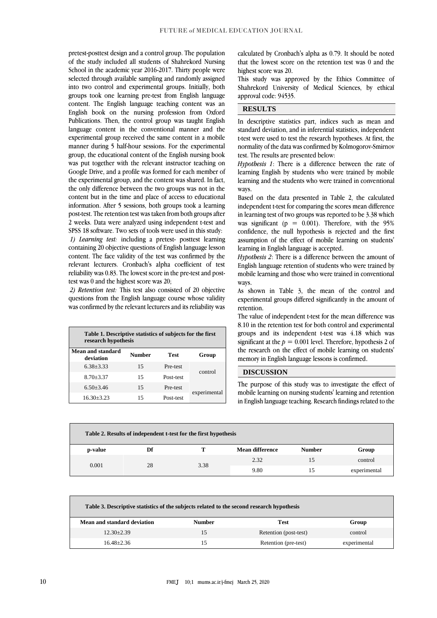pretest-posttest design and a control group. The population of the study included all students of Shahrekord Nursing School in the academic year 2016-2017. Thirty people were selected through available sampling and randomly assigned into two control and experimental groups. Initially, both groups took one learning pre-test from English language content. The English language teaching content was an English book on the nursing profession from Oxford Publications. Then, the control group was taught English language content in the conventional manner and the experimental group received the same content in a mobile manner during 5 half-hour sessions. For the experimental group, the educational content of the English nursing book was put together with the relevant instructor teaching on Google Drive, and a profile was formed for each member of the experimental group, and the content was shared. In fact, the only difference between the two groups was not in the content but in the time and place of access to educational information. After 5 sessions, both groups took a learning post-test. The retention test was taken from both groups after 2 weeks. Data were analyzed using independent t-test and SPSS 18 software. Two sets of tools were used in this study: *1) Learning test:* including a pretest- posttest learning containing 20 objective questions of English language lesson content. The face validity of the test was confirmed by the relevant lecturers. Cronbach's alpha coefficient of test reliability was 0.83. The lowest score in the pre-test and posttest was 0 and the highest score was 20;

*2) Retention test:* This test also consisted of 20 objective questions from the English language course whose validity was confirmed by the relevant lecturers and its reliability was

| Table 1. Descriptive statistics of subjects for the first<br>research hypothesis |        |             |              |  |
|----------------------------------------------------------------------------------|--------|-------------|--------------|--|
| Mean and standard<br>deviation                                                   | Number | <b>Test</b> | Group        |  |
| $6.38 + 3.33$                                                                    | 15     | Pre-test    | control      |  |
| $8.70 + 3.37$                                                                    | 15     | Post-test   |              |  |
| $6.50 + 3.46$                                                                    | 15     | Pre-test    | experimental |  |
| $16.30 + 3.23$                                                                   | 15     | Post-test   |              |  |

calculated by Cronbach's alpha as 0.79. It should be noted that the lowest score on the retention test was 0 and the highest score was 20.

This study was approved by the Ethics Committee of Shahrekord University of Medical Sciences, by ethical approval code: 94535.

## **RESULTS**

In descriptive statistics part, indices such as mean and standard deviation, and in inferential statistics, independent t-test were used to test the research hypotheses. At first, the normality of the data was confirmed by Kolmogorov-Smirnov test. The results are presented below:

*Hypothesis 1*: There is a difference between the rate of learning English by students who were trained by mobile learning and the students who were trained in conventional ways.

Based on the data presented in Table 2, the calculated independent t-test for comparing the scores mean difference in learning test of two groups was reported to be 3.38 which was significant ( $p = 0.001$ ). Therefore, with the 95% confidence, the null hypothesis is rejected and the first assumption of the effect of mobile learning on students' learning in English language is accepted.

*Hypothesis 2*: There is a difference between the amount of English language retention of students who were trained by mobile learning and those who were trained in conventional ways.

As shown in Table 3, the mean of the control and experimental groups differed significantly in the amount of retention.

The value of independent t-test for the mean difference was 8.10 in the retention test for both control and experimental groups and its independent t-test was 4.18 which was significant at the  $p = 0.001$  level. Therefore, hypothesis 2 of the research on the effect of mobile learning on students' memory in English language lessons is confirmed.

## **DISCUSSION**

The purpose of this study was to investigate the effect of mobile learning on nursing students' learning and retention in English language teaching. Research findings related to the

| Table 2. Results of independent t-test for the first hypothesis |      |      |                 |               |       |
|-----------------------------------------------------------------|------|------|-----------------|---------------|-------|
| p-value                                                         | Df   |      | Mean difference | <b>Number</b> | Group |
| 28<br>0.001                                                     | 3.38 | 2.32 |                 | control       |       |
|                                                                 |      | 9.80 |                 | experimental  |       |

| Table 3. Descriptive statistics of the subjects related to the second research hypothesis |               |                       |              |  |
|-------------------------------------------------------------------------------------------|---------------|-----------------------|--------------|--|
| Mean and standard deviation                                                               | <b>Number</b> | Test                  | Group        |  |
| $12.30 \pm 2.39$                                                                          |               | Retention (post-test) | control      |  |
| $16.48 + 2.36$                                                                            |               | Retention (pre-test)  | experimental |  |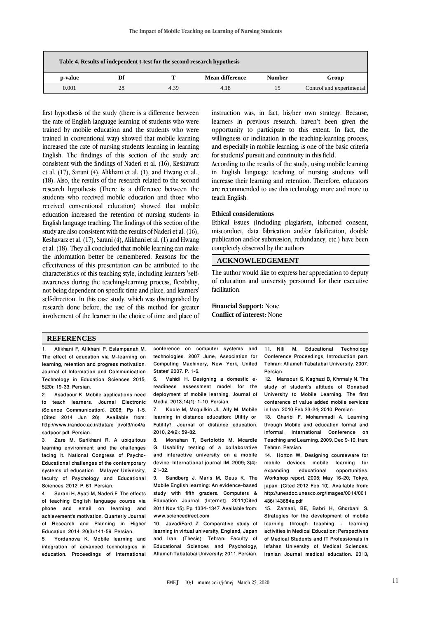| Table 4. Results of independent t-test for the second research hypothesis |    |      |                        |               |                          |
|---------------------------------------------------------------------------|----|------|------------------------|---------------|--------------------------|
| p-value                                                                   | Df |      | <b>Mean difference</b> | <b>Number</b> | Group                    |
| 0.001                                                                     | 28 | 4.39 | 4.18                   | 15            | Control and experimental |

first hypothesis of the study (there is a difference between the rate of English language learning of students who were trained by mobile education and the students who were trained in conventional way) showed that mobile learning increased the rate of nursing students learning in learning English. The findings of this section of the study are consistent with the findings of Naderi et al. (16), Keshavarz et al. (17), Sarani (4), Alikhani et al. (1), and Hwang et al., (18). Also, the results of the research related to the second research hypothesis (There is a difference between the students who received mobile education and those who received conventional education) showed that mobile education increased the retention of nursing students in English language teaching. The findings of this section of the study are also consistent with the results of Naderi et al. (16), Keshavarz et al. (17), Sarani (4), Alikhani et al. (1) and Hwang et al. (18). They all concluded that mobile learning can make the information better be remembered. Reasons for the effectiveness of this presentation can be attributed to the characteristics of this teaching style, including learners 'selfawareness during the teaching-learning process, flexibility, not being dependent on specific time and place, and learners' self-direction. In this case study, which was distinguished by research done before, the use of this method for greater involvement of the learner in the choice of time and place of instruction was, in fact, his/her own strategy. Because, learners in previous research, haven't been given the opportunity to participate to this extent. In fact, the willingness or inclination in the teaching-learning process, and especially in mobile learning, is one of the basic criteria for students' pursuit and continuity in this field.

According to the results of the study, using mobile learning in English language teaching of nursing students will increase their learning and retention. Therefore, educators are recommended to use this technology more and more to teach English.

### **Ethical considerations**

Ethical issues (Including plagiarism, informed consent, misconduct, data fabrication and/or falsification, double publication and/or submission, redundancy, etc.) have been completely observed by the authors.

## **ACKNOWLEDGEMENT**

The author would like to express her appreciation to deputy of education and university personnel for their executive facilitation.

**Financial Support:** None **Conflict of interest:** None

### **REFERENCES**

1. Alikhani F, Alikhani P, Eslampanah M. The effect of education via M-learning on learning, retention and progress motivation. Journal of Information and Communication Technology in Education Sciences 2015; 5(20): 19-33. Persian.

2. Asadpour K. Mobile applications need to teach learners. Journal Electronic (Science Communication). 2008; Pp 1-5. [Cited 2014 Jun 26]. Available from: [http://www.irandoc.ac.ir/data/e\\_j/vol9/no4/a](http://www.irandoc.ac.ir/data/e_j/vol9/no4/asadpoor.pdf) [sadpoor.pdf.](http://www.irandoc.ac.ir/data/e_j/vol9/no4/asadpoor.pdf) Persian.

3. Zare M, Sarikhani R. A ubiquitous learning environment and the challenges facing it. National Congress of Psycho-Educational challenges of the contemporary systems of education. Malayer University, faculty of Psychology and Educational Sciences. 2012; P. 61. Persian.

4. Sarani H, Ayati M, Naderi F. The effects of teaching English language course via phone and email on learning and achievement's motivation. Quarterly Journal of Research and Planning in Higher Education. 2014; 20(3):141-59. Persian.

5. Yordanova K. Mobile learning and integration of advanced technologies in education. Proceedings of International conference on computer systems and technologies; 2007 June; Association for Computing Machinery, New York, United States' 2007. P. 1-6.<br>6. Vahidi H. Des

Vahidi H. Designing a domestic ereadiness assessment model for the deployment of mobile learning. Journal of Media. 2013;14(1): 1-10. Persian.

7. Koole M, Mcquilkin JL, Ally M. Mobile learning in distance education: Utility or Futility?. Journal of distance education. 2010; 24(2): 59-82.

8. Monahan T, Bertolotto M, Mcardle G. Usability testing of a collaborative and interactive university on a mobile device. International journal IM. 2009; 3(4):  $21 - 32.$ <br>9.

Sandberg J, Maris M, Geus K. The Mobile English learning: An evidence-based study with fifth graders. Computers & Education Journal [Internet]. 2011[Cited 2011 Nov 15]. Pp. 1334-1347. Available from: [www.sciencedirect.com](http://www.sciencedirect.com/)

10. JavadiFard Z. Comparative study of learning in virtual university, England, Japan and Iran, [Thesis]. Tehran: Faculty of Educational Sciences and Psychology, Allameh Tabatabai University; 2011. Persian.

11. Nili M. Educational Technology Conference Proceedings, Introduction part. Tehran: Allameh Tabatabai University. 2007. Persian.

12. Mansouri S, Kaghazi B, Khrmaly N. The study of student's attitude of Gonabad University to Mobile Learning. The first conference of value added mobile services in Iran. 2010 Feb 23-24; 2010. Persian.

13. Gharibi F, Mohammadi A. Learning through Mobile and education formal and informal. International Conference on Teaching and Learning. 2009; Dec 9-10; Iran: Tehran. Persian.

14. Horton W. Designing courseware for mobile devices mobile learning for<br>expanding educational opportunities. expanding educational Workshop report. 2005; May 16-20; Tokyo, japan. [Cited 2012 Feb 10]. Available from: [http://unesdoc.unesco.org/images/0014/001](http://unesdoc.unesco.org/images/0014/001436/143684e.pdf) [436/143684e.pdf](http://unesdoc.unesco.org/images/0014/001436/143684e.pdf)

15. Zamani, BE, Babri H, Ghorbani S. Strategies for the development of mobile learning through teaching - learning activities in Medical Education: Perspectives of Medical Students and IT Professionals in Isfahan University of Medical Sciences. Iranian Journal medical education. 2013;